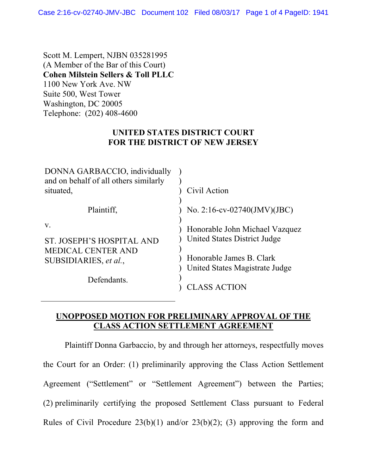Scott M. Lempert, NJBN 035281995 (A Member of the Bar of this Court) **Cohen Milstein Sellers & Toll PLLC** 1100 New York Ave. NW Suite 500, West Tower Washington, DC 20005 Telephone: (202) 408-4600

## **UNITED STATES DISTRICT COURT FOR THE DISTRICT OF NEW JERSEY**

| DONNA GARBACCIO, individually<br>and on behalf of all others similarly |                                                                |
|------------------------------------------------------------------------|----------------------------------------------------------------|
| situated,                                                              | Civil Action                                                   |
| Plaintiff,                                                             | No. 2:16-cv-02740(JMV)(JBC)                                    |
| V.<br>ST. JOSEPH'S HOSPITAL AND                                        | Honorable John Michael Vazquez<br>United States District Judge |
| <b>MEDICAL CENTER AND</b><br>SUBSIDIARIES, et al.,                     | Honorable James B. Clark<br>United States Magistrate Judge     |
| Defendants.                                                            | <b>CLASS ACTION</b>                                            |

## **UNOPPOSED MOTION FOR PRELIMINARY APPROVAL OF THE CLASS ACTION SETTLEMENT AGREEMENT**

Plaintiff Donna Garbaccio, by and through her attorneys, respectfully moves the Court for an Order: (1) preliminarily approving the Class Action Settlement Agreement ("Settlement" or "Settlement Agreement") between the Parties; (2) preliminarily certifying the proposed Settlement Class pursuant to Federal Rules of Civil Procedure  $23(b)(1)$  and/or  $23(b)(2)$ ; (3) approving the form and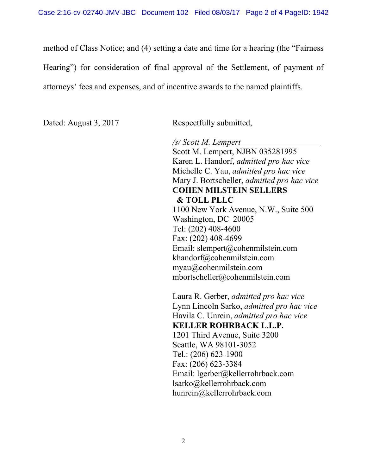method of Class Notice; and (4) setting a date and time for a hearing (the "Fairness Hearing") for consideration of final approval of the Settlement, of payment of attorneys' fees and expenses, and of incentive awards to the named plaintiffs.

Dated: August 3, 2017 Respectfully submitted,

*/s/ Scott M. Lempert*  Scott M. Lempert, NJBN 035281995 Karen L. Handorf, *admitted pro hac vice* Michelle C. Yau, *admitted pro hac vice* Mary J. Bortscheller, *admitted pro hac vice* **COHEN MILSTEIN SELLERS & TOLL PLLC** 1100 New York Avenue, N.W., Suite 500 Washington, DC 20005 Tel: (202) 408-4600 Fax: (202) 408-4699 Email: slempert@cohenmilstein.com khandorf@cohenmilstein.com myau@cohenmilstein.com mbortscheller@cohenmilstein.com

Laura R. Gerber, *admitted pro hac vice* Lynn Lincoln Sarko, *admitted pro hac vice*  Havila C. Unrein, *admitted pro hac vice*  **KELLER ROHRBACK L.L.P.** 1201 Third Avenue, Suite 3200 Seattle, WA 98101-3052 Tel.: (206) 623-1900 Fax: (206) 623-3384 Email: lgerber@kellerrohrback.com lsarko@kellerrohrback.com hunrein@kellerrohrback.com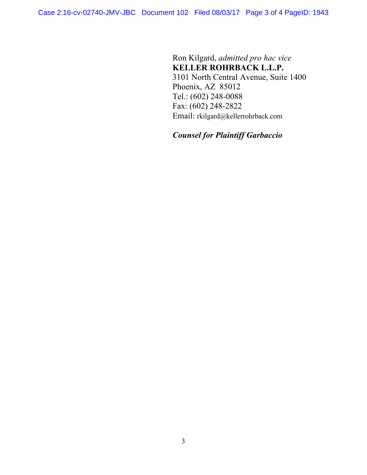Ron Kilgard, *admitted pro hac vice*  **KELLER ROHRBACK L.L.P.**  3101 North Central Avenue, Suite 1400 Phoenix, AZ 85012 Tel.: (602) 248-0088 Fax: (602) 248-2822 Email: rkilgard@kellerrohrback.com

*Counsel for Plaintiff Garbaccio*